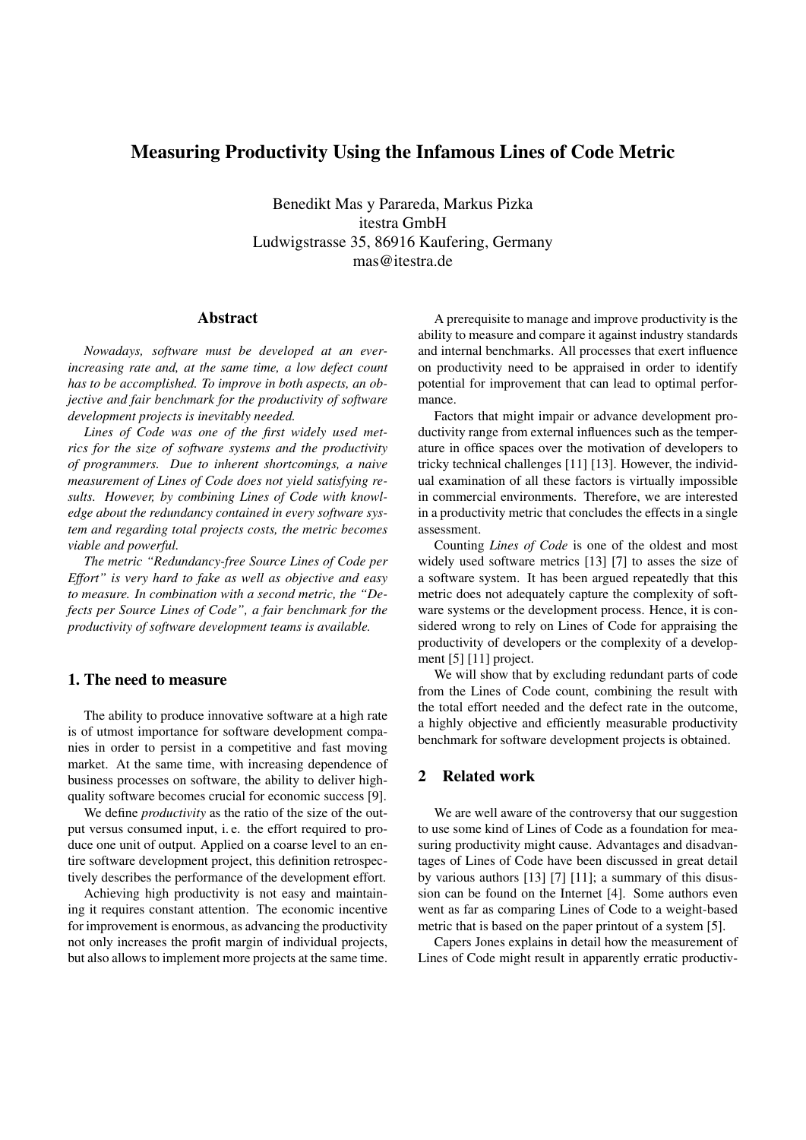# Measuring Productivity Using the Infamous Lines of Code Metric

Benedikt Mas y Parareda, Markus Pizka itestra GmbH Ludwigstrasse 35, 86916 Kaufering, Germany mas@itestra.de

### Abstract

*Nowadays, software must be developed at an everincreasing rate and, at the same time, a low defect count has to be accomplished. To improve in both aspects, an objective and fair benchmark for the productivity of software development projects is inevitably needed.*

*Lines of Code was one of the first widely used metrics for the size of software systems and the productivity of programmers. Due to inherent shortcomings, a naive measurement of Lines of Code does not yield satisfying results. However, by combining Lines of Code with knowledge about the redundancy contained in every software system and regarding total projects costs, the metric becomes viable and powerful.*

*The metric "Redundancy-free Source Lines of Code per Effort" is very hard to fake as well as objective and easy to measure. In combination with a second metric, the "Defects per Source Lines of Code", a fair benchmark for the productivity of software development teams is available.*

### 1. The need to measure

The ability to produce innovative software at a high rate is of utmost importance for software development companies in order to persist in a competitive and fast moving market. At the same time, with increasing dependence of business processes on software, the ability to deliver highquality software becomes crucial for economic success [9].

We define *productivity* as the ratio of the size of the output versus consumed input, i. e. the effort required to produce one unit of output. Applied on a coarse level to an entire software development project, this definition retrospectively describes the performance of the development effort.

Achieving high productivity is not easy and maintaining it requires constant attention. The economic incentive for improvement is enormous, as advancing the productivity not only increases the profit margin of individual projects, but also allows to implement more projects at the same time.

A prerequisite to manage and improve productivity is the ability to measure and compare it against industry standards and internal benchmarks. All processes that exert influence on productivity need to be appraised in order to identify potential for improvement that can lead to optimal performance.

Factors that might impair or advance development productivity range from external influences such as the temperature in office spaces over the motivation of developers to tricky technical challenges [11] [13]. However, the individual examination of all these factors is virtually impossible in commercial environments. Therefore, we are interested in a productivity metric that concludes the effects in a single assessment.

Counting *Lines of Code* is one of the oldest and most widely used software metrics [13] [7] to asses the size of a software system. It has been argued repeatedly that this metric does not adequately capture the complexity of software systems or the development process. Hence, it is considered wrong to rely on Lines of Code for appraising the productivity of developers or the complexity of a development [5] [11] project.

We will show that by excluding redundant parts of code from the Lines of Code count, combining the result with the total effort needed and the defect rate in the outcome, a highly objective and efficiently measurable productivity benchmark for software development projects is obtained.

## 2 Related work

We are well aware of the controversy that our suggestion to use some kind of Lines of Code as a foundation for measuring productivity might cause. Advantages and disadvantages of Lines of Code have been discussed in great detail by various authors [13] [7] [11]; a summary of this disussion can be found on the Internet [4]. Some authors even went as far as comparing Lines of Code to a weight-based metric that is based on the paper printout of a system [5].

Capers Jones explains in detail how the measurement of Lines of Code might result in apparently erratic productiv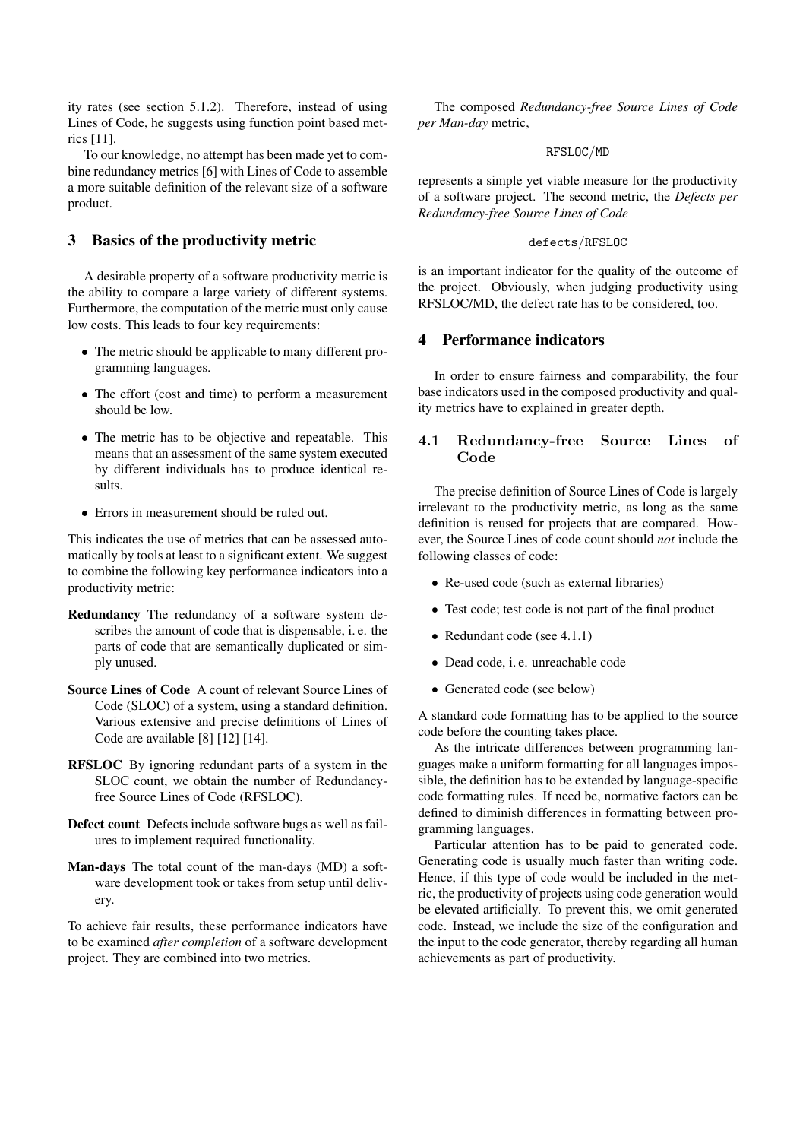ity rates (see section 5.1.2). Therefore, instead of using Lines of Code, he suggests using function point based metrics [11].

To our knowledge, no attempt has been made yet to combine redundancy metrics [6] with Lines of Code to assemble a more suitable definition of the relevant size of a software product.

## 3 Basics of the productivity metric

A desirable property of a software productivity metric is the ability to compare a large variety of different systems. Furthermore, the computation of the metric must only cause low costs. This leads to four key requirements:

- The metric should be applicable to many different programming languages.
- The effort (cost and time) to perform a measurement should be low.
- The metric has to be objective and repeatable. This means that an assessment of the same system executed by different individuals has to produce identical results.
- Errors in measurement should be ruled out.

This indicates the use of metrics that can be assessed automatically by tools at least to a significant extent. We suggest to combine the following key performance indicators into a productivity metric:

- Redundancy The redundancy of a software system describes the amount of code that is dispensable, i. e. the parts of code that are semantically duplicated or simply unused.
- Source Lines of Code A count of relevant Source Lines of Code (SLOC) of a system, using a standard definition. Various extensive and precise definitions of Lines of Code are available [8] [12] [14].
- RFSLOC By ignoring redundant parts of a system in the SLOC count, we obtain the number of Redundancyfree Source Lines of Code (RFSLOC).
- Defect count Defects include software bugs as well as failures to implement required functionality.
- Man-days The total count of the man-days (MD) a software development took or takes from setup until delivery.

To achieve fair results, these performance indicators have to be examined *after completion* of a software development project. They are combined into two metrics.

The composed *Redundancy-free Source Lines of Code per Man-day* metric,

#### RFSLOC/MD

represents a simple yet viable measure for the productivity of a software project. The second metric, the *Defects per Redundancy-free Source Lines of Code*

#### defects/RFSLOC

is an important indicator for the quality of the outcome of the project. Obviously, when judging productivity using RFSLOC/MD, the defect rate has to be considered, too.

## 4 Performance indicators

In order to ensure fairness and comparability, the four base indicators used in the composed productivity and quality metrics have to explained in greater depth.

## 4.1 Redundancy-free Source Lines of Code

The precise definition of Source Lines of Code is largely irrelevant to the productivity metric, as long as the same definition is reused for projects that are compared. However, the Source Lines of code count should *not* include the following classes of code:

- Re-used code (such as external libraries)
- Test code; test code is not part of the final product
- Redundant code (see 4.1.1)
- Dead code, i. e. unreachable code
- Generated code (see below)

A standard code formatting has to be applied to the source code before the counting takes place.

As the intricate differences between programming languages make a uniform formatting for all languages impossible, the definition has to be extended by language-specific code formatting rules. If need be, normative factors can be defined to diminish differences in formatting between programming languages.

Particular attention has to be paid to generated code. Generating code is usually much faster than writing code. Hence, if this type of code would be included in the metric, the productivity of projects using code generation would be elevated artificially. To prevent this, we omit generated code. Instead, we include the size of the configuration and the input to the code generator, thereby regarding all human achievements as part of productivity.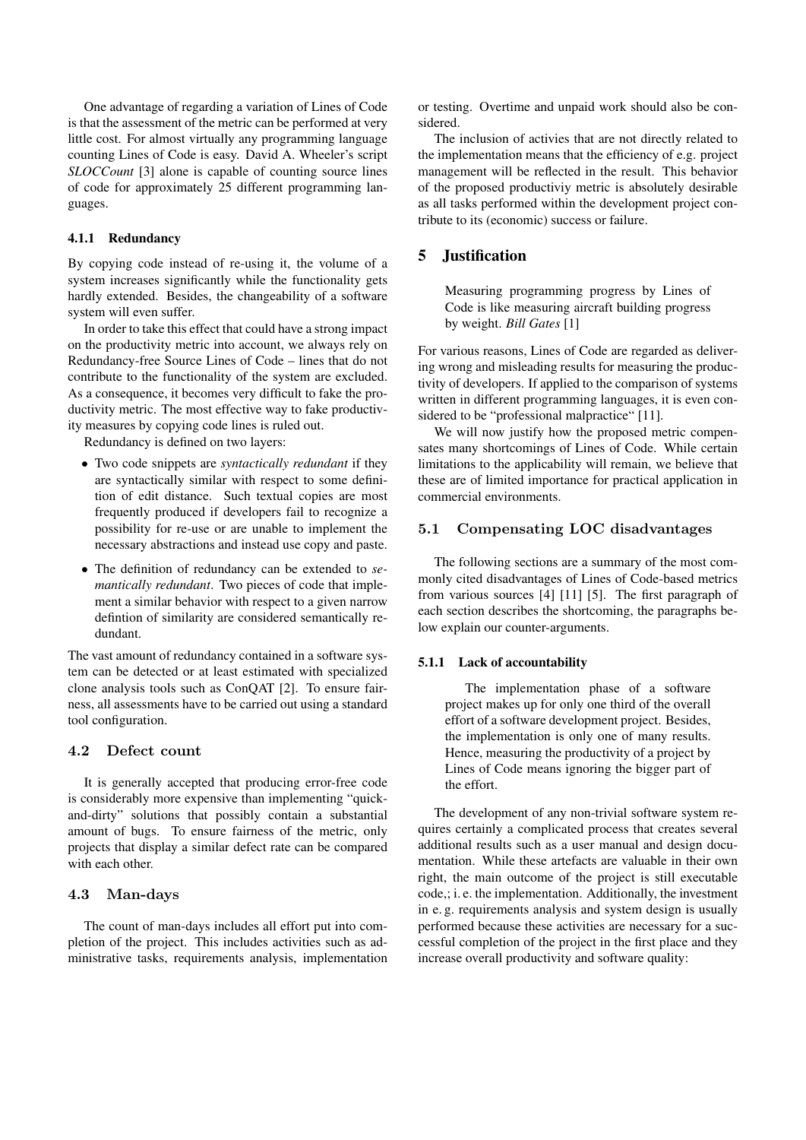One advantage of regarding a variation of Lines of Code is that the assessment of the metric can be performed at very little cost. For almost virtually any programming language counting Lines of Code is easy. David A. Wheeler's script *SLOCCount* [3] alone is capable of counting source lines of code for approximately 25 different programming languages.

#### 4.1.1 Redundancy

By copying code instead of re-using it, the volume of a system increases significantly while the functionality gets hardly extended. Besides, the changeability of a software system will even suffer.

In order to take this effect that could have a strong impact on the productivity metric into account, we always rely on Redundancy-free Source Lines of Code – lines that do not contribute to the functionality of the system are excluded. As a consequence, it becomes very difficult to fake the productivity metric. The most effective way to fake productivity measures by copying code lines is ruled out.

Redundancy is defined on two layers:

- Two code snippets are *syntactically redundant* if they are syntactically similar with respect to some definition of edit distance. Such textual copies are most frequently produced if developers fail to recognize a possibility for re-use or are unable to implement the necessary abstractions and instead use copy and paste.
- The definition of redundancy can be extended to *semantically redundant*. Two pieces of code that implement a similar behavior with respect to a given narrow defintion of similarity are considered semantically redundant.

The vast amount of redundancy contained in a software system can be detected or at least estimated with specialized clone analysis tools such as ConQAT [2]. To ensure fairness, all assessments have to be carried out using a standard tool configuration.

#### 4.2 Defect count

It is generally accepted that producing error-free code is considerably more expensive than implementing "quickand-dirty" solutions that possibly contain a substantial amount of bugs. To ensure fairness of the metric, only projects that display a similar defect rate can be compared with each other.

#### 4.3 Man-days

The count of man-days includes all effort put into completion of the project. This includes activities such as administrative tasks, requirements analysis, implementation or testing. Overtime and unpaid work should also be considered.

The inclusion of activies that are not directly related to the implementation means that the efficiency of e.g. project management will be reflected in the result. This behavior of the proposed productiviy metric is absolutely desirable as all tasks performed within the development project contribute to its (economic) success or failure.

#### 5 Justification

Measuring programming progress by Lines of Code is like measuring aircraft building progress by weight. *Bill Gates* [1]

For various reasons, Lines of Code are regarded as delivering wrong and misleading results for measuring the productivity of developers. If applied to the comparison of systems written in different programming languages, it is even considered to be "professional malpractice" [11].

We will now justify how the proposed metric compensates many shortcomings of Lines of Code. While certain limitations to the applicability will remain, we believe that these are of limited importance for practical application in commercial environments.

### 5.1 Compensating LOC disadvantages

The following sections are a summary of the most commonly cited disadvantages of Lines of Code-based metrics from various sources [4] [11] [5]. The first paragraph of each section describes the shortcoming, the paragraphs below explain our counter-arguments.

#### 5.1.1 Lack of accountability

The implementation phase of a software project makes up for only one third of the overall effort of a software development project. Besides, the implementation is only one of many results. Hence, measuring the productivity of a project by Lines of Code means ignoring the bigger part of the effort.

The development of any non-trivial software system requires certainly a complicated process that creates several additional results such as a user manual and design documentation. While these artefacts are valuable in their own right, the main outcome of the project is still executable code,; i. e. the implementation. Additionally, the investment in e. g. requirements analysis and system design is usually performed because these activities are necessary for a successful completion of the project in the first place and they increase overall productivity and software quality: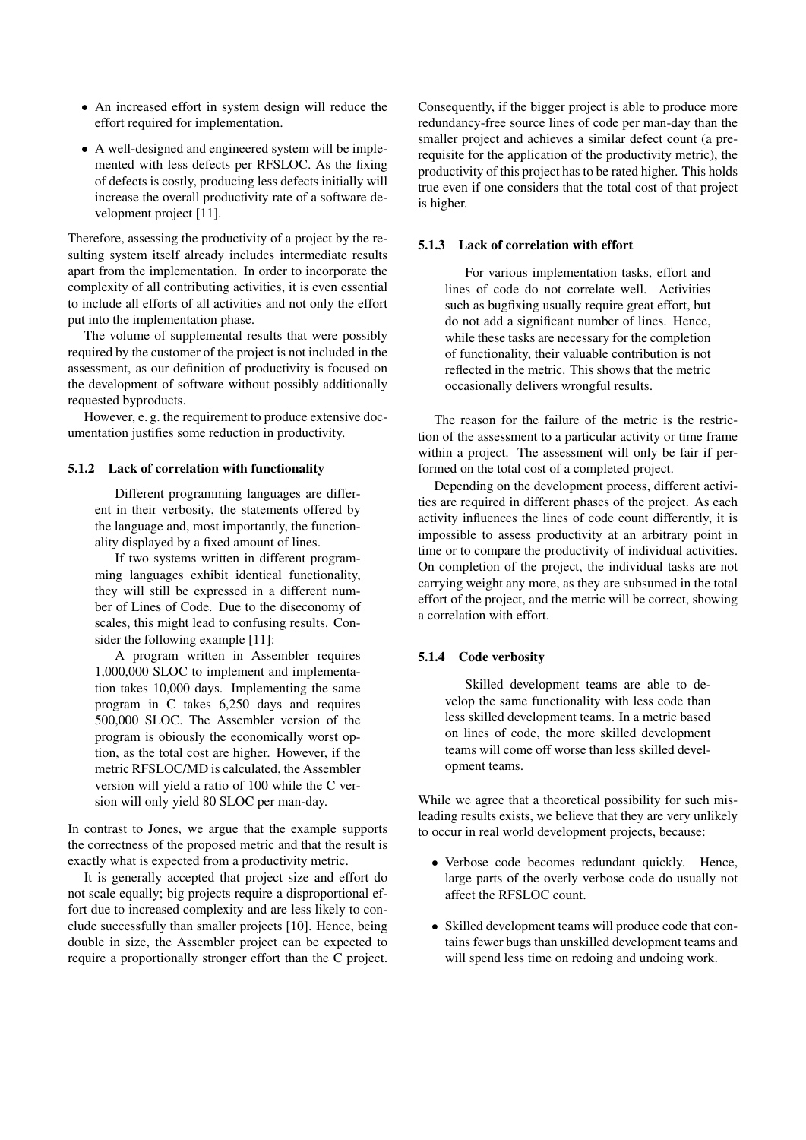- An increased effort in system design will reduce the effort required for implementation.
- A well-designed and engineered system will be implemented with less defects per RFSLOC. As the fixing of defects is costly, producing less defects initially will increase the overall productivity rate of a software development project [11].

Therefore, assessing the productivity of a project by the resulting system itself already includes intermediate results apart from the implementation. In order to incorporate the complexity of all contributing activities, it is even essential to include all efforts of all activities and not only the effort put into the implementation phase.

The volume of supplemental results that were possibly required by the customer of the project is not included in the assessment, as our definition of productivity is focused on the development of software without possibly additionally requested byproducts.

However, e. g. the requirement to produce extensive documentation justifies some reduction in productivity.

#### 5.1.2 Lack of correlation with functionality

Different programming languages are different in their verbosity, the statements offered by the language and, most importantly, the functionality displayed by a fixed amount of lines.

If two systems written in different programming languages exhibit identical functionality, they will still be expressed in a different number of Lines of Code. Due to the diseconomy of scales, this might lead to confusing results. Consider the following example [11]:

A program written in Assembler requires 1,000,000 SLOC to implement and implementation takes 10,000 days. Implementing the same program in C takes 6,250 days and requires 500,000 SLOC. The Assembler version of the program is obiously the economically worst option, as the total cost are higher. However, if the metric RFSLOC/MD is calculated, the Assembler version will yield a ratio of 100 while the C version will only yield 80 SLOC per man-day.

In contrast to Jones, we argue that the example supports the correctness of the proposed metric and that the result is exactly what is expected from a productivity metric.

It is generally accepted that project size and effort do not scale equally; big projects require a disproportional effort due to increased complexity and are less likely to conclude successfully than smaller projects [10]. Hence, being double in size, the Assembler project can be expected to require a proportionally stronger effort than the C project. Consequently, if the bigger project is able to produce more redundancy-free source lines of code per man-day than the smaller project and achieves a similar defect count (a prerequisite for the application of the productivity metric), the productivity of this project has to be rated higher. This holds true even if one considers that the total cost of that project is higher.

#### 5.1.3 Lack of correlation with effort

For various implementation tasks, effort and lines of code do not correlate well. Activities such as bugfixing usually require great effort, but do not add a significant number of lines. Hence, while these tasks are necessary for the completion of functionality, their valuable contribution is not reflected in the metric. This shows that the metric occasionally delivers wrongful results.

The reason for the failure of the metric is the restriction of the assessment to a particular activity or time frame within a project. The assessment will only be fair if performed on the total cost of a completed project.

Depending on the development process, different activities are required in different phases of the project. As each activity influences the lines of code count differently, it is impossible to assess productivity at an arbitrary point in time or to compare the productivity of individual activities. On completion of the project, the individual tasks are not carrying weight any more, as they are subsumed in the total effort of the project, and the metric will be correct, showing a correlation with effort.

### 5.1.4 Code verbosity

Skilled development teams are able to develop the same functionality with less code than less skilled development teams. In a metric based on lines of code, the more skilled development teams will come off worse than less skilled development teams.

While we agree that a theoretical possibility for such misleading results exists, we believe that they are very unlikely to occur in real world development projects, because:

- Verbose code becomes redundant quickly. Hence, large parts of the overly verbose code do usually not affect the RFSLOC count.
- Skilled development teams will produce code that contains fewer bugs than unskilled development teams and will spend less time on redoing and undoing work.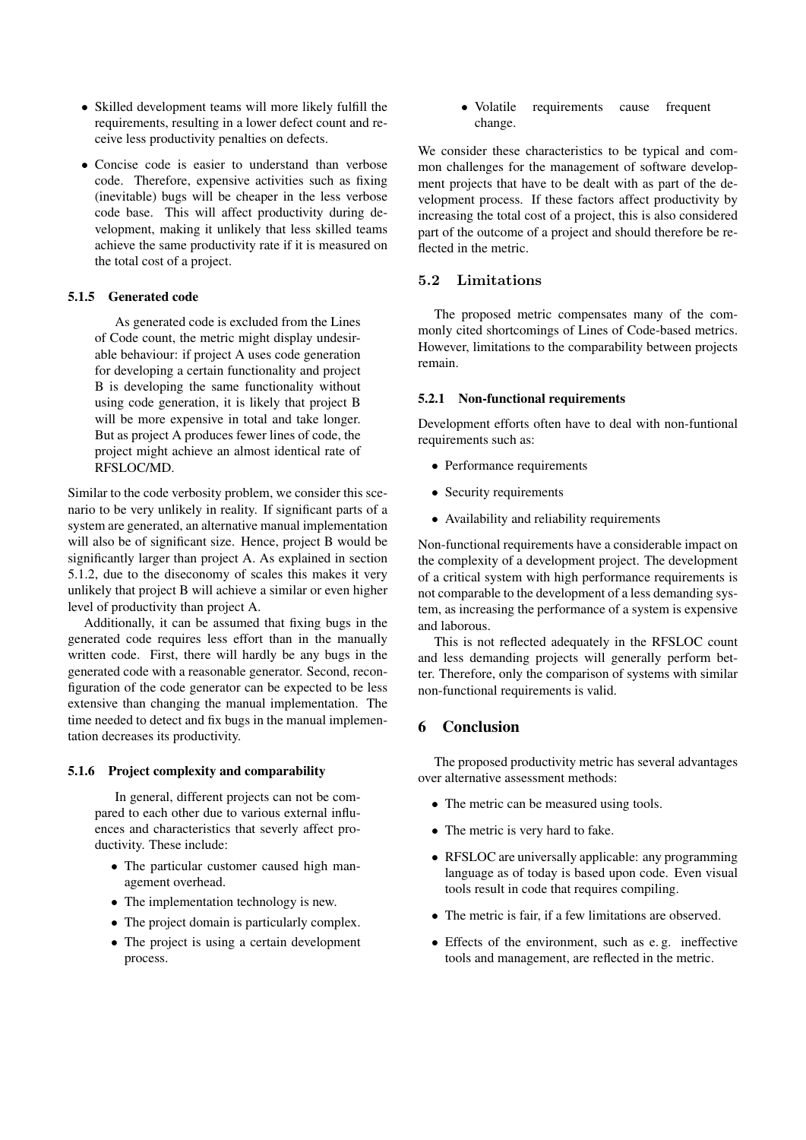- Skilled development teams will more likely fulfill the requirements, resulting in a lower defect count and receive less productivity penalties on defects.
- Concise code is easier to understand than verbose code. Therefore, expensive activities such as fixing (inevitable) bugs will be cheaper in the less verbose code base. This will affect productivity during development, making it unlikely that less skilled teams achieve the same productivity rate if it is measured on the total cost of a project.

#### 5.1.5 Generated code

As generated code is excluded from the Lines of Code count, the metric might display undesirable behaviour: if project A uses code generation for developing a certain functionality and project B is developing the same functionality without using code generation, it is likely that project B will be more expensive in total and take longer. But as project A produces fewer lines of code, the project might achieve an almost identical rate of RFSLOC/MD.

Similar to the code verbosity problem, we consider this scenario to be very unlikely in reality. If significant parts of a system are generated, an alternative manual implementation will also be of significant size. Hence, project B would be significantly larger than project A. As explained in section 5.1.2, due to the diseconomy of scales this makes it very unlikely that project B will achieve a similar or even higher level of productivity than project A.

Additionally, it can be assumed that fixing bugs in the generated code requires less effort than in the manually written code. First, there will hardly be any bugs in the generated code with a reasonable generator. Second, reconfiguration of the code generator can be expected to be less extensive than changing the manual implementation. The time needed to detect and fix bugs in the manual implementation decreases its productivity.

#### 5.1.6 Project complexity and comparability

In general, different projects can not be compared to each other due to various external influences and characteristics that severly affect productivity. These include:

- The particular customer caused high management overhead.
- The implementation technology is new.
- The project domain is particularly complex.
- The project is using a certain development process.

• Volatile requirements cause frequent change.

We consider these characteristics to be typical and common challenges for the management of software development projects that have to be dealt with as part of the development process. If these factors affect productivity by increasing the total cost of a project, this is also considered part of the outcome of a project and should therefore be reflected in the metric.

#### 5.2 Limitations

The proposed metric compensates many of the commonly cited shortcomings of Lines of Code-based metrics. However, limitations to the comparability between projects remain.

#### 5.2.1 Non-functional requirements

Development efforts often have to deal with non-funtional requirements such as:

- Performance requirements
- Security requirements
- Availability and reliability requirements

Non-functional requirements have a considerable impact on the complexity of a development project. The development of a critical system with high performance requirements is not comparable to the development of a less demanding system, as increasing the performance of a system is expensive and laborous.

This is not reflected adequately in the RFSLOC count and less demanding projects will generally perform better. Therefore, only the comparison of systems with similar non-functional requirements is valid.

## 6 Conclusion

The proposed productivity metric has several advantages over alternative assessment methods:

- The metric can be measured using tools.
- The metric is very hard to fake.
- RFSLOC are universally applicable: any programming language as of today is based upon code. Even visual tools result in code that requires compiling.
- The metric is fair, if a few limitations are observed.
- Effects of the environment, such as e.g. ineffective tools and management, are reflected in the metric.